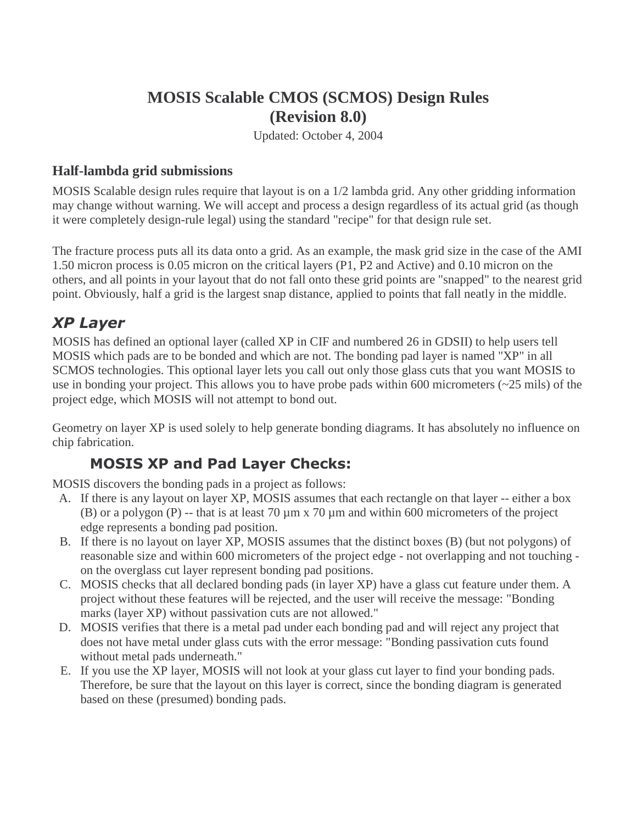## **MOSIS Scalable CMOS (SCMOS) Design Rules (Revision 8.0)**

Updated: October 4, 2004

#### **Half-lambda grid submissions**

MOSIS Scalable design rules require that layout is on a 1/2 lambda grid. Any other gridding information may change without warning. We will accept and process a design regardless of its actual grid (as though it were completely design-rule legal) using the standard "recipe" for that design rule set.

The fracture process puts all its data onto a grid. As an example, the mask grid size in the case of the AMI 1.50 micron process is 0.05 micron on the critical layers (P1, P2 and Active) and 0.10 micron on the others, and all points in your layout that do not fall onto these grid points are "snapped" to the nearest grid point. Obviously, half a grid is the largest snap distance, applied to points that fall neatly in the middle.

## XP Layer

MOSIS has defined an optional layer (called XP in CIF and numbered 26 in GDSII) to help users tell MOSIS which pads are to be bonded and which are not. The bonding pad layer is named "XP" in all SCMOS technologies. This optional layer lets you call out only those glass cuts that you want MOSIS to use in bonding your project. This allows you to have probe pads within 600 micrometers (~25 mils) of the project edge, which MOSIS will not attempt to bond out.

Geometry on layer XP is used solely to help generate bonding diagrams. It has absolutely no influence on chip fabrication.

## **MOSIS XP and Pad Layer Checks:**

MOSIS discovers the bonding pads in a project as follows:

- A. If there is any layout on layer XP, MOSIS assumes that each rectangle on that layer -- either a box (B) or a polygon (P) -- that is at least 70  $\mu$ m x 70  $\mu$ m and within 600 micrometers of the project edge represents a bonding pad position.
- B. If there is no layout on layer XP, MOSIS assumes that the distinct boxes (B) (but not polygons) of reasonable size and within 600 micrometers of the project edge - not overlapping and not touching on the overglass cut layer represent bonding pad positions.
- C. MOSIS checks that all declared bonding pads (in layer XP) have a glass cut feature under them. A project without these features will be rejected, and the user will receive the message: "Bonding marks (layer XP) without passivation cuts are not allowed."
- D. MOSIS verifies that there is a metal pad under each bonding pad and will reject any project that does not have metal under glass cuts with the error message: "Bonding passivation cuts found without metal pads underneath."
- E. If you use the XP layer, MOSIS will not look at your glass cut layer to find your bonding pads. Therefore, be sure that the layout on this layer is correct, since the bonding diagram is generated based on these (presumed) bonding pads.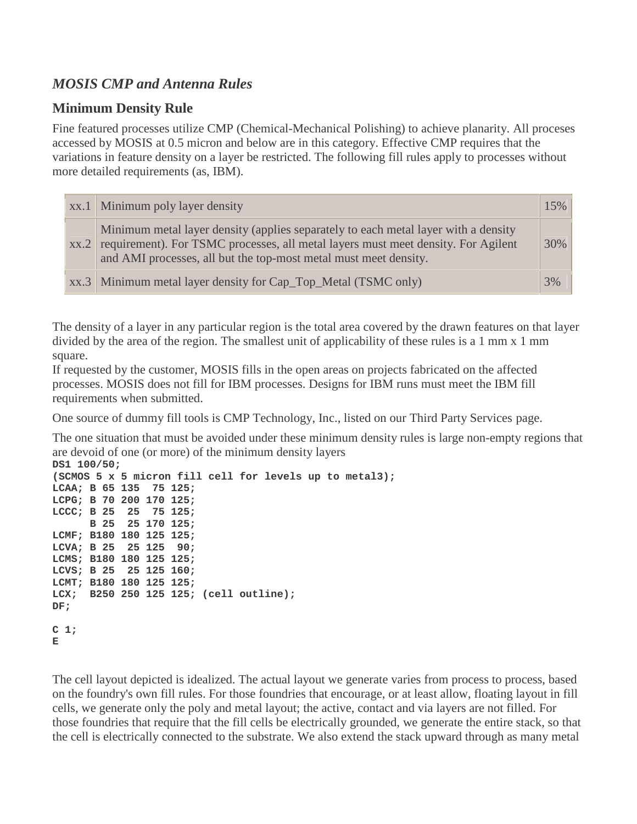### *MOSIS CMP and Antenna Rules*

#### **Minimum Density Rule**

Fine featured processes utilize CMP (Chemical-Mechanical Polishing) to achieve planarity. All proceses accessed by MOSIS at 0.5 micron and below are in this category. Effective CMP requires that the variations in feature density on a layer be restricted. The following fill rules apply to processes without more detailed requirements (as, IBM).

| $\vert$ xx.1   Minimum poly layer density                                                                                                                                                                                                        | 15% |
|--------------------------------------------------------------------------------------------------------------------------------------------------------------------------------------------------------------------------------------------------|-----|
| Minimum metal layer density (applies separately to each metal layer with a density<br>xx.2 requirement). For TSMC processes, all metal layers must meet density. For Agilent<br>and AMI processes, all but the top-most metal must meet density. | 30% |
| xx.3 Minimum metal layer density for Cap_Top_Metal (TSMC only)                                                                                                                                                                                   | 3%  |

The density of a layer in any particular region is the total area covered by the drawn features on that layer divided by the area of the region. The smallest unit of applicability of these rules is a 1 mm x 1 mm square.

If requested by the customer, MOSIS fills in the open areas on projects fabricated on the affected processes. MOSIS does not fill for IBM processes. Designs for IBM runs must meet the IBM fill requirements when submitted.

One source of dummy fill tools is CMP Technology, Inc., listed on our Third Party Services page.

The one situation that must be avoided under these minimum density rules is large non-empty regions that are devoid of one (or more) of the minimum density layers

```
DS1 100/50; 
(SCMOS 5 x 5 micron fill cell for levels up to metal3); 
LCAA; B 65 135 75 125; 
LCPG; B 70 200 170 125; 
LCCC; B 25 25 75 125; 
      B 25 25 170 125; 
LCMF; B180 180 125 125; 
LCVA; B 25 25 125 90; 
LCMS; B180 180 125 125; 
LCVS; B 25 25 125 160; 
LCMT; B180 180 125 125; 
LCX; B250 250 125 125; (cell outline); 
DF; 
C 1; 
E
```
The cell layout depicted is idealized. The actual layout we generate varies from process to process, based on the foundry's own fill rules. For those foundries that encourage, or at least allow, floating layout in fill cells, we generate only the poly and metal layout; the active, contact and via layers are not filled. For those foundries that require that the fill cells be electrically grounded, we generate the entire stack, so that the cell is electrically connected to the substrate. We also extend the stack upward through as many metal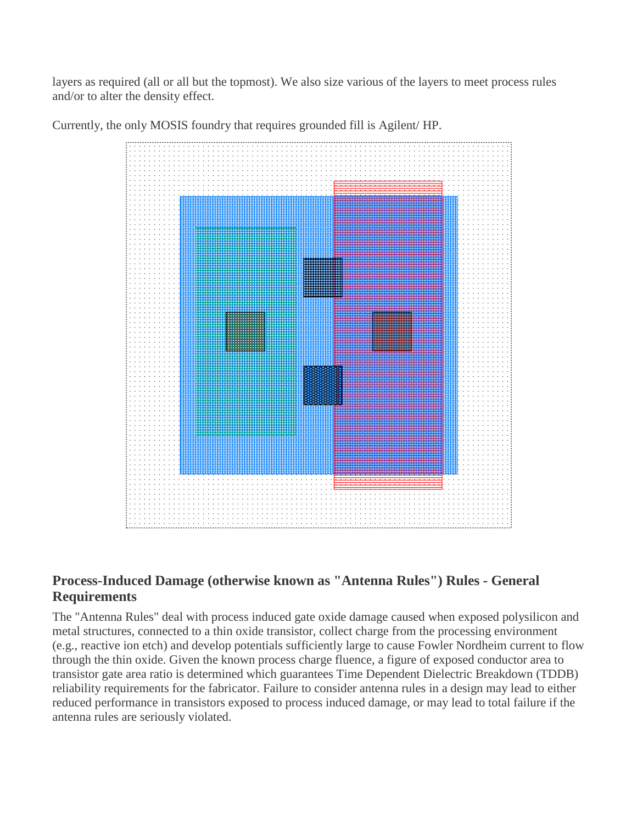layers as required (all or all but the topmost). We also size various of the layers to meet process rules and/or to alter the density effect.



Currently, the only MOSIS foundry that requires grounded fill is Agilent/ HP.

#### **Process-Induced Damage (otherwise known as "Antenna Rules") Rules - General Requirements**

The "Antenna Rules" deal with process induced gate oxide damage caused when exposed polysilicon and metal structures, connected to a thin oxide transistor, collect charge from the processing environment (e.g., reactive ion etch) and develop potentials sufficiently large to cause Fowler Nordheim current to flow through the thin oxide. Given the known process charge fluence, a figure of exposed conductor area to transistor gate area ratio is determined which guarantees Time Dependent Dielectric Breakdown (TDDB) reliability requirements for the fabricator. Failure to consider antenna rules in a design may lead to either reduced performance in transistors exposed to process induced damage, or may lead to total failure if the antenna rules are seriously violated.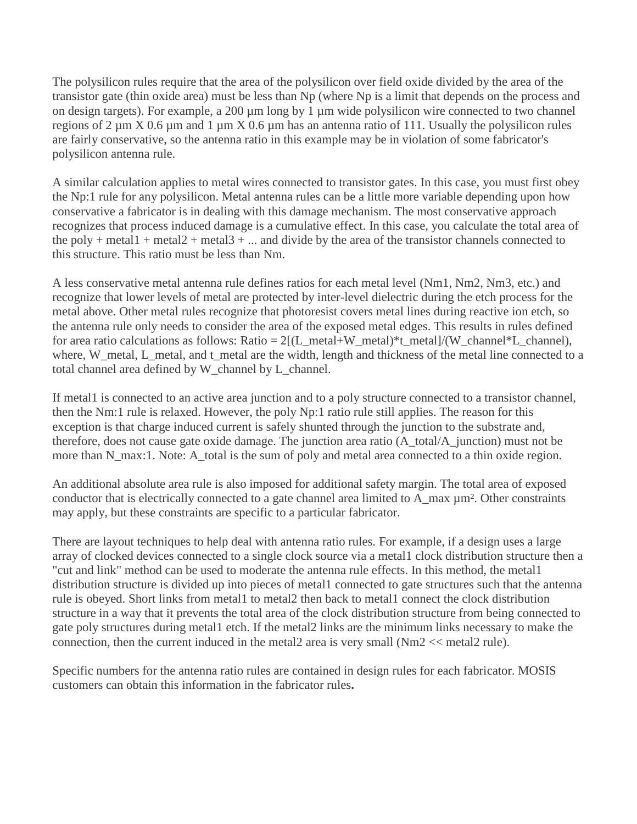The polysilicon rules require that the area of the polysilicon over field oxide divided by the area of the transistor gate (thin oxide area) must be less than Np (where Np is a limit that depends on the process and on design targets). For example, a 200 µm long by 1 µm wide polysilicon wire connected to two channel regions of 2  $\mu$ m X 0.6  $\mu$ m and 1  $\mu$ m X 0.6  $\mu$ m has an antenna ratio of 111. Usually the polysilicon rules are fairly conservative, so the antenna ratio in this example may be in violation of some fabricator's polysilicon antenna rule.

A similar calculation applies to metal wires connected to transistor gates. In this case, you must first obey the Np:1 rule for any polysilicon. Metal antenna rules can be a little more variable depending upon how conservative a fabricator is in dealing with this damage mechanism. The most conservative approach recognizes that process induced damage is a cumulative effect. In this case, you calculate the total area of the poly + metal1 + metal2 + metal3 + ... and divide by the area of the transistor channels connected to this structure. This ratio must be less than Nm.

A less conservative metal antenna rule defines ratios for each metal level (Nm1, Nm2, Nm3, etc.) and recognize that lower levels of metal are protected by inter-level dielectric during the etch process for the metal above. Other metal rules recognize that photoresist covers metal lines during reactive ion etch, so the antenna rule only needs to consider the area of the exposed metal edges. This results in rules defined for area ratio calculations as follows: Ratio = 2[(L\_metal+W\_metal)\*t\_metal]/(W\_channel\*L\_channel), where, W\_metal, L\_metal, and t\_metal are the width, length and thickness of the metal line connected to a total channel area defined by W\_channel by L\_channel.

If metal1 is connected to an active area junction and to a poly structure connected to a transistor channel, then the Nm:1 rule is relaxed. However, the poly Np:1 ratio rule still applies. The reason for this exception is that charge induced current is safely shunted through the junction to the substrate and, therefore, does not cause gate oxide damage. The junction area ratio (A\_total/A\_junction) must not be more than N\_max:1. Note: A\_total is the sum of poly and metal area connected to a thin oxide region.

An additional absolute area rule is also imposed for additional safety margin. The total area of exposed conductor that is electrically connected to a gate channel area limited to A\_max µm². Other constraints may apply, but these constraints are specific to a particular fabricator.

There are layout techniques to help deal with antenna ratio rules. For example, if a design uses a large array of clocked devices connected to a single clock source via a metal1 clock distribution structure then a "cut and link" method can be used to moderate the antenna rule effects. In this method, the metal1 distribution structure is divided up into pieces of metal1 connected to gate structures such that the antenna rule is obeyed. Short links from metal1 to metal2 then back to metal1 connect the clock distribution structure in a way that it prevents the total area of the clock distribution structure from being connected to gate poly structures during metal1 etch. If the metal2 links are the minimum links necessary to make the connection, then the current induced in the metal2 area is very small (Nm2 << metal2 rule).

Specific numbers for the antenna ratio rules are contained in design rules for each fabricator. MOSIS customers can obtain this information in the fabricator rules**.**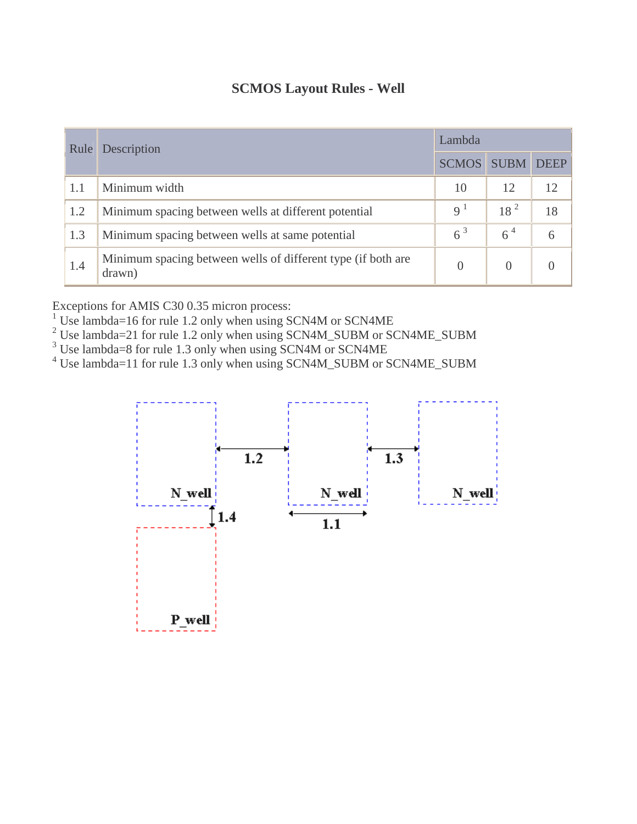| <b>SCMOS Layout Rules - Well</b> |
|----------------------------------|
|----------------------------------|

| Rule | Description                                                            | Lambda         |                 |                 |  |
|------|------------------------------------------------------------------------|----------------|-----------------|-----------------|--|
|      |                                                                        | <b>SCMOS</b>   | <b>SUBM</b>     | <b>DEEP</b>     |  |
| 1.1  | Minimum width                                                          | 10             | 12              | 12 <sub>1</sub> |  |
| 1.2  | Minimum spacing between wells at different potential                   | 9 <sup>1</sup> | 18 <sup>2</sup> | 18              |  |
| 1.3  | Minimum spacing between wells at same potential                        | $6^3$          | $6^4$           | $\sigma$        |  |
| 1.4  | Minimum spacing between wells of different type (if both are<br>drawn) | $\theta$       | $\Omega$        |                 |  |

Exceptions for AMIS C30 0.35 micron process:<br><sup>1</sup> Use lambda=16 for rule 1.2 only when using SCN4M or SCN4ME<br><sup>2</sup> Use lambda=21 for rule 1.2 only when using SCN4M\_SUBM or SCN4ME\_SUBM<br><sup>3</sup> Use lambda=8 for rule 1.3 only when

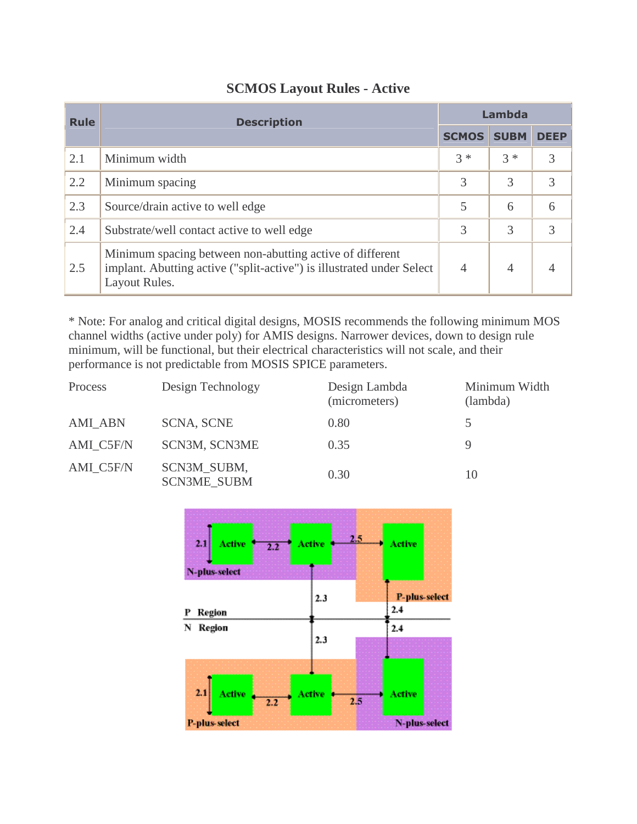| <b>Rule</b> | <b>Description</b>                                                                                                                                 | Lambda         |             |             |  |
|-------------|----------------------------------------------------------------------------------------------------------------------------------------------------|----------------|-------------|-------------|--|
|             |                                                                                                                                                    | <b>SCMOS</b>   | <b>SUBM</b> | <b>DEEP</b> |  |
| 2.1         | Minimum width                                                                                                                                      | $3 *$          | $3 *$       | 3           |  |
| 2.2         | Minimum spacing                                                                                                                                    | 3              | 3           | 3           |  |
| 2.3         | Source/drain active to well edge                                                                                                                   | 5              | 6           | 6           |  |
| 2.4         | Substrate/well contact active to well edge                                                                                                         | 3              | 3           | 3           |  |
| 2.5         | Minimum spacing between non-abutting active of different<br>implant. Abutting active ("split-active") is illustrated under Select<br>Layout Rules. | $\overline{4}$ | 4           |             |  |

#### **SCMOS Layout Rules - Active**

\* Note: For analog and critical digital designs, MOSIS recommends the following minimum MOS channel widths (active under poly) for AMIS designs. Narrower devices, down to design rule minimum, will be functional, but their electrical characteristics will not scale, and their performance is not predictable from MOSIS SPICE parameters.

| Process        | Design Technology                 | Design Lambda<br>(micrometers) | Minimum Width<br>(lambda) |
|----------------|-----------------------------------|--------------------------------|---------------------------|
| <b>AMI_ABN</b> | <b>SCNA, SCNE</b>                 | 0.80                           | 5                         |
| AMI C5F/N      | SCN3M, SCN3ME                     | 0.35                           |                           |
| AMI C5F/N      | SCN3M_SUBM,<br><b>SCN3ME SUBM</b> | 0.30                           | 10                        |

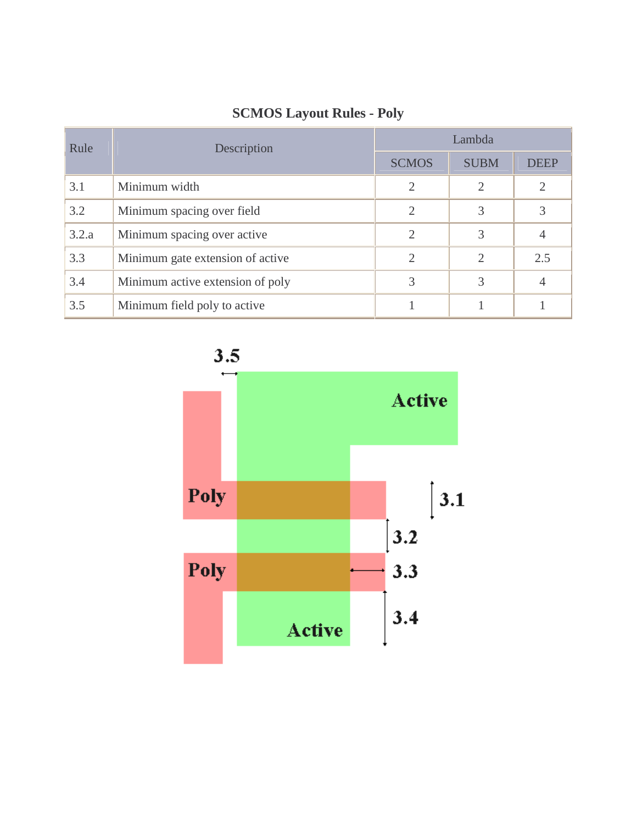| Rule  | Description                      | Lambda                      |                             |                |  |  |  |
|-------|----------------------------------|-----------------------------|-----------------------------|----------------|--|--|--|
|       |                                  | <b>SCMOS</b>                | <b>SUBM</b>                 | <b>DEEP</b>    |  |  |  |
| 3.1   | Minimum width                    | 2                           | 2                           | $\mathfrak{2}$ |  |  |  |
| 3.2   | Minimum spacing over field       | $\mathcal{D}_{\mathcal{L}}$ | 3                           | 3              |  |  |  |
| 3.2.a | Minimum spacing over active      | $\mathcal{D}_{\mathcal{L}}$ | 3                           | 4              |  |  |  |
| 3.3   | Minimum gate extension of active | 2                           | $\mathcal{D}_{\mathcal{A}}$ | 2.5            |  |  |  |
| 3.4   | Minimum active extension of poly |                             | 3                           | 4              |  |  |  |
| 3.5   | Minimum field poly to active     |                             |                             |                |  |  |  |

## **SCMOS Layout Rules - Poly**



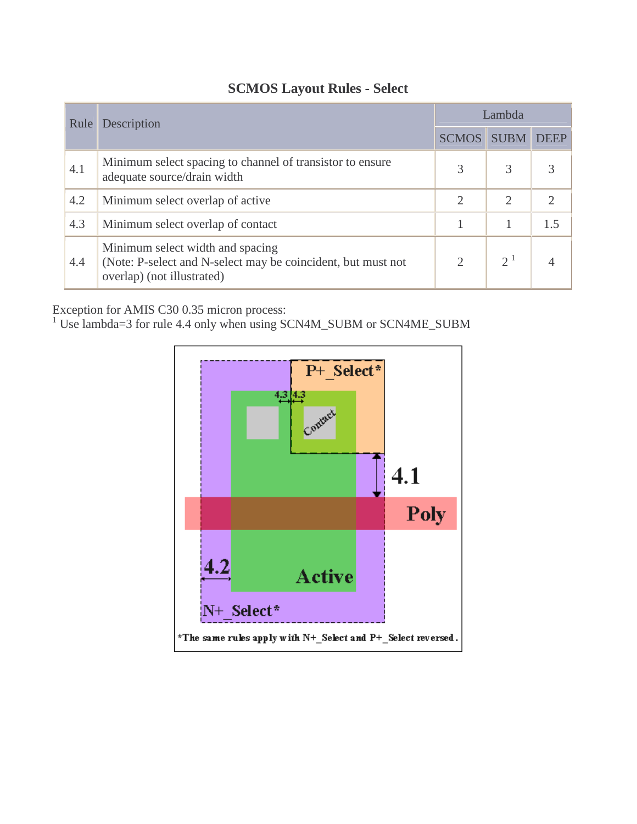| Rule | Description                                                                                                                    | Lambda         |                |             |  |
|------|--------------------------------------------------------------------------------------------------------------------------------|----------------|----------------|-------------|--|
|      |                                                                                                                                | <b>SCMOS</b>   | <b>SUBM</b>    | <b>DEEP</b> |  |
| 4.1  | Minimum select spacing to channel of transistor to ensure<br>adequate source/drain width                                       | 3              | 3              |             |  |
| 4.2  | Minimum select overlap of active                                                                                               | $\overline{2}$ | $\overline{2}$ |             |  |
| 4.3  | Minimum select overlap of contact                                                                                              |                |                | 1.5         |  |
| 4.4  | Minimum select width and spacing<br>(Note: P-select and N-select may be coincident, but must not<br>overlap) (not illustrated) | $\overline{2}$ | $2^1$          |             |  |

## **SCMOS Layout Rules - Select**

Exception for AMIS C30 0.35 micron process:<br><sup>1</sup> Use lambda=3 for rule 4.4 only when using SCN4M\_SUBM or SCN4ME\_SUBM

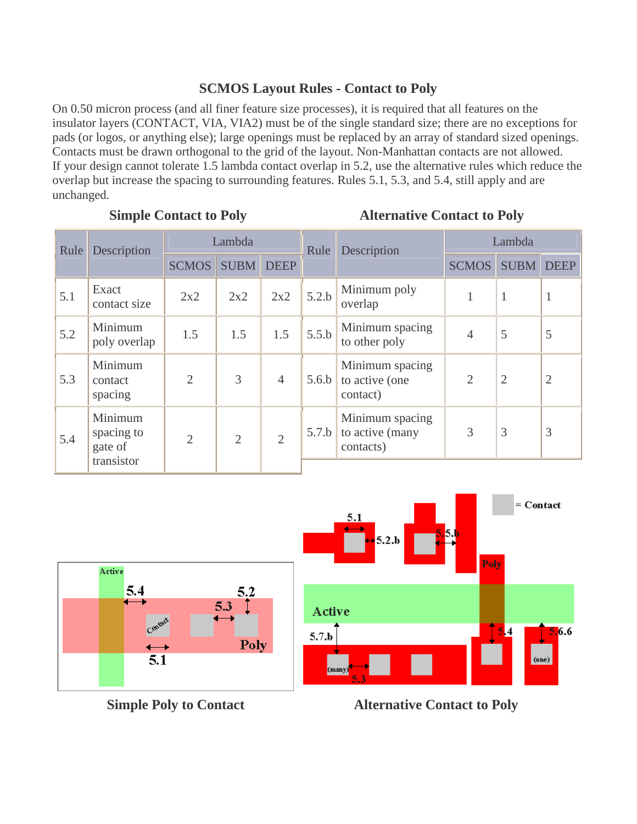### **SCMOS Layout Rules - Contact to Poly**

On 0.50 micron process (and all finer feature size processes), it is required that all features on the insulator layers (CONTACT, VIA, VIA2) must be of the single standard size; there are no exceptions for pads (or logos, or anything else); large openings must be replaced by an array of standard sized openings. Contacts must be drawn orthogonal to the grid of the layout. Non-Manhattan contacts are not allowed. If your design cannot tolerate 1.5 lambda contact overlap in 5.2, use the alternative rules which reduce the overlap but increase the spacing to surrounding features. Rules 5.1, 5.3, and 5.4, still apply and are unchanged.

#### **Simple Contact to Poly Alternative Contact to Poly**

| Rule | Description                                    | Lambda         |                | Rule           | Description | Lambda                                          |                |                |                |
|------|------------------------------------------------|----------------|----------------|----------------|-------------|-------------------------------------------------|----------------|----------------|----------------|
|      |                                                | <b>SCMOS</b>   | <b>SUBM</b>    | <b>DEEP</b>    |             |                                                 | <b>SCMOS</b>   | <b>SUBM</b>    | <b>DEEP</b>    |
| 5.1  | Exact<br>contact size                          | 2x2            | 2x2            | 2x2            | 5.2.b       | Minimum poly<br>overlap                         |                | 1              | $\mathbf{1}$   |
| 5.2  | Minimum<br>poly overlap                        | 1.5            | 1.5            | 1.5            | 5.5.b       | Minimum spacing<br>to other poly                | $\overline{4}$ | 5              | 5              |
| 5.3  | Minimum<br>contact<br>spacing                  | $\overline{2}$ | 3              | $\overline{4}$ | 5.6.b       | Minimum spacing<br>to active (one<br>contact)   | $\overline{2}$ | $\overline{2}$ | $\overline{2}$ |
| 5.4  | Minimum<br>spacing to<br>gate of<br>transistor | $\overline{2}$ | $\overline{2}$ | $\overline{2}$ | 5.7.b       | Minimum spacing<br>to active (many<br>contacts) | 3              | 3              | 3              |
|      |                                                |                |                |                |             |                                                 |                |                |                |



**Simple Poly to Contact Alternative Contact to Poly**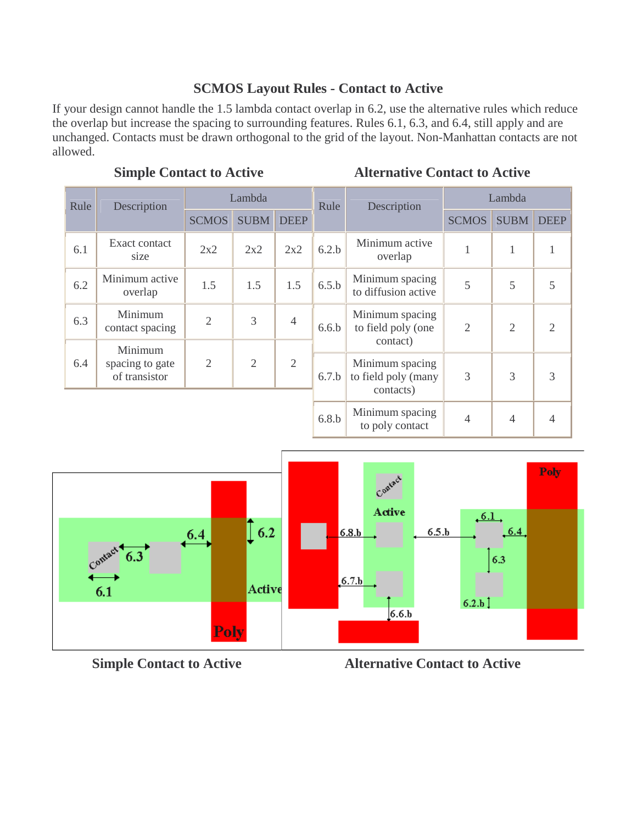#### **SCMOS Layout Rules - Contact to Active**

If your design cannot handle the 1.5 lambda contact overlap in 6.2, use the alternative rules which reduce the overlap but increase the spacing to surrounding features. Rules 6.1, 6.3, and 6.4, still apply and are unchanged. Contacts must be drawn orthogonal to the grid of the layout. Non-Manhattan contacts are not allowed.

### **Simple Contact to Active Alternative Contact to Active**

| Rule | Description                                 | Lambda         |                |                | Rule  | Description                                         |                | Lambda         |                |
|------|---------------------------------------------|----------------|----------------|----------------|-------|-----------------------------------------------------|----------------|----------------|----------------|
|      |                                             | <b>SCMOS</b>   | <b>SUBM</b>    | <b>DEEP</b>    |       |                                                     | <b>SCMOS</b>   | <b>SUBM</b>    | <b>DEEP</b>    |
| 6.1  | Exact contact<br>size                       | 2x2            | 2x2            | 2x2            | 6.2.b | Minimum active<br>overlap                           | 1              | 1              |                |
| 6.2  | Minimum active<br>overlap                   | 1.5            | 1.5            | 1.5            | 6.5.b | Minimum spacing<br>to diffusion active              | 5              | 5              | 5              |
| 6.3  | Minimum<br>contact spacing                  | $\overline{2}$ | 3              | $\overline{4}$ | 6.6.b | Minimum spacing<br>to field poly (one<br>contact)   | $\overline{2}$ | $\overline{2}$ | $\overline{2}$ |
| 6.4  | Minimum<br>spacing to gate<br>of transistor | $\overline{2}$ | $\overline{2}$ | $\overline{2}$ | 6.7.b | Minimum spacing<br>to field poly (many<br>contacts) | 3              | 3              | 3              |
|      |                                             |                |                |                | 6.8.b | Minimum spacing<br>to poly contact                  | $\overline{4}$ | $\overline{4}$ | $\overline{4}$ |



**Simple Contact to Active 2018 11 Alternative Contact to Active**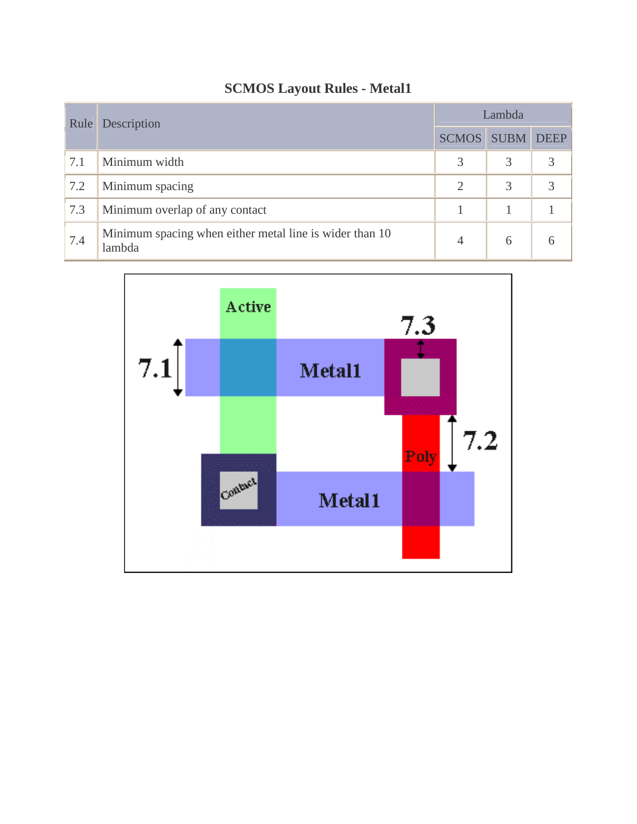| Rule | Description                                                       | Lambda            |   |             |  |
|------|-------------------------------------------------------------------|-------------------|---|-------------|--|
|      |                                                                   | <b>SCMOS</b> SUBM |   | <b>DEEP</b> |  |
| 7.1  | Minimum width                                                     | 3                 | 3 |             |  |
| 7.2  | Minimum spacing                                                   | $\overline{2}$    | 3 | 3           |  |
| 7.3  | Minimum overlap of any contact                                    |                   |   |             |  |
| 7.4  | Minimum spacing when either metal line is wider than 10<br>lambda | 4                 | 6 | რ           |  |

## **SCMOS Layout Rules - Metal1**

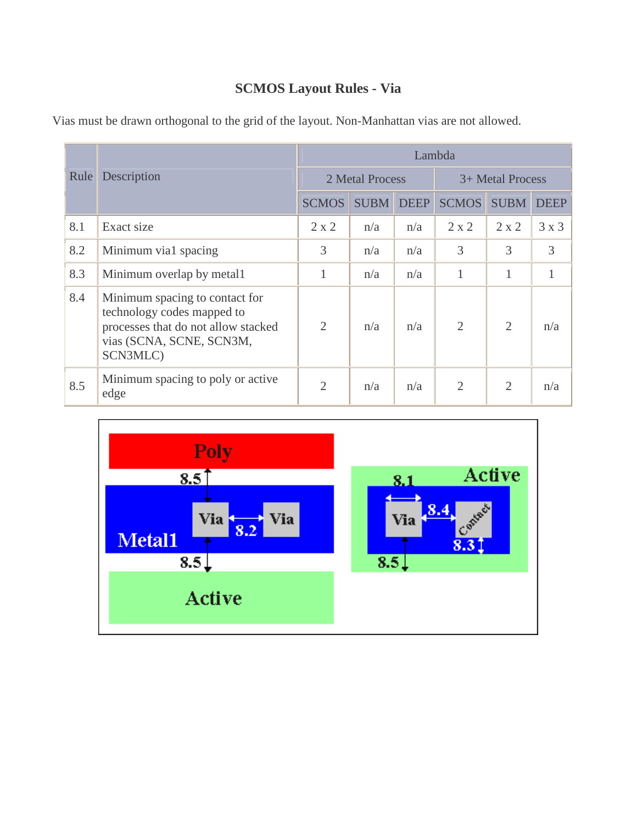## **SCMOS Layout Rules - Via**

|      | Description                                                                                                                                 | Lambda         |                 |             |                  |                |             |  |  |
|------|---------------------------------------------------------------------------------------------------------------------------------------------|----------------|-----------------|-------------|------------------|----------------|-------------|--|--|
| Rule |                                                                                                                                             |                | 2 Metal Process |             | 3+ Metal Process |                |             |  |  |
|      |                                                                                                                                             | <b>SCMOS</b>   | <b>SUBM</b>     | <b>DEEP</b> | <b>SCMOS</b>     | <b>SUBM</b>    | <b>DEEP</b> |  |  |
| 8.1  | Exact size                                                                                                                                  | $2 \times 2$   | n/a             | n/a         | $2 \times 2$     | $2 \times 2$   | 3x3         |  |  |
| 8.2  | Minimum via1 spacing                                                                                                                        | 3              | n/a             | n/a         | 3                | 3              | 3           |  |  |
| 8.3  | Minimum overlap by metal1                                                                                                                   | 1              | n/a             | n/a         | 1                | 1              | 1           |  |  |
| 8.4  | Minimum spacing to contact for<br>technology codes mapped to<br>processes that do not allow stacked<br>vias (SCNA, SCNE, SCN3M,<br>SCN3MLC) | $\overline{2}$ | n/a             | n/a         | $\overline{2}$   | $\overline{2}$ | n/a         |  |  |
| 8.5  | Minimum spacing to poly or active<br>edge                                                                                                   | $\overline{2}$ | n/a             | n/a         | $\overline{2}$   | $\overline{2}$ | n/a         |  |  |

Vias must be drawn orthogonal to the grid of the layout. Non-Manhattan vias are not allowed.

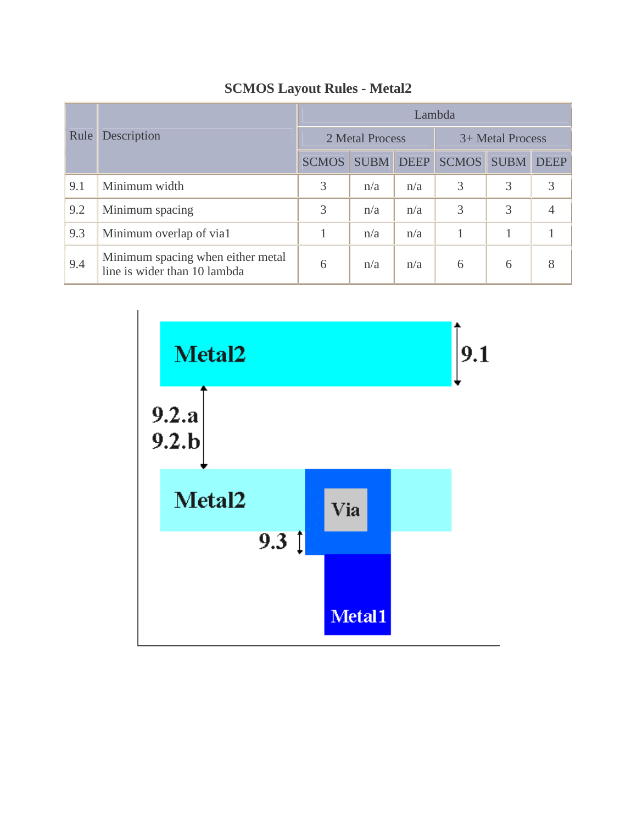|      | Description                                                       | Lambda       |                 |             |                  |             |             |  |  |  |
|------|-------------------------------------------------------------------|--------------|-----------------|-------------|------------------|-------------|-------------|--|--|--|
| Rule |                                                                   |              | 2 Metal Process |             | 3+ Metal Process |             |             |  |  |  |
|      |                                                                   | <b>SCMOS</b> | <b>SUBM</b>     | <b>DEEP</b> | <b>SCMOS</b>     | <b>SUBM</b> | <b>DEEP</b> |  |  |  |
| 9.1  | Minimum width                                                     | 3            | n/a             | n/a         | 3                | 3           | 3           |  |  |  |
| 9.2  | Minimum spacing                                                   | 3            | n/a             | n/a         | 3                | 3           | 4           |  |  |  |
| 9.3  | Minimum overlap of via1                                           |              | n/a             | n/a         |                  |             |             |  |  |  |
| 9.4  | Minimum spacing when either metal<br>line is wider than 10 lambda | 6            | n/a             | n/a         | 6                | 6           | 8           |  |  |  |

# **SCMOS Layout Rules - Metal2**

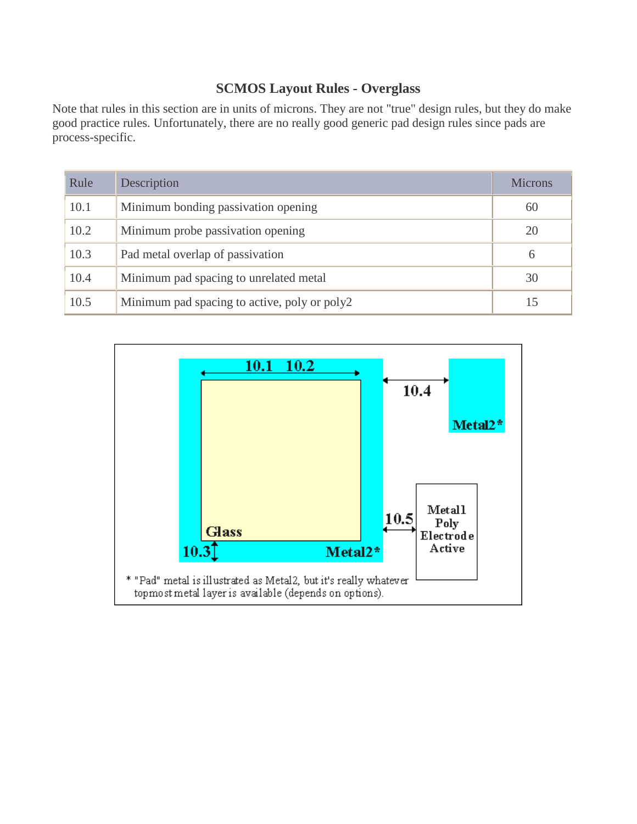## **SCMOS Layout Rules - Overglass**

Note that rules in this section are in units of microns. They are not "true" design rules, but they do make good practice rules. Unfortunately, there are no really good generic pad design rules since pads are process-specific.

| Rule | Description                                  | <b>Microns</b> |
|------|----------------------------------------------|----------------|
| 10.1 | Minimum bonding passivation opening          | 60             |
| 10.2 | Minimum probe passivation opening            | 20             |
| 10.3 | Pad metal overlap of passivation             | 6              |
| 10.4 | Minimum pad spacing to unrelated metal       | 30             |
| 10.5 | Minimum pad spacing to active, poly or poly2 |                |

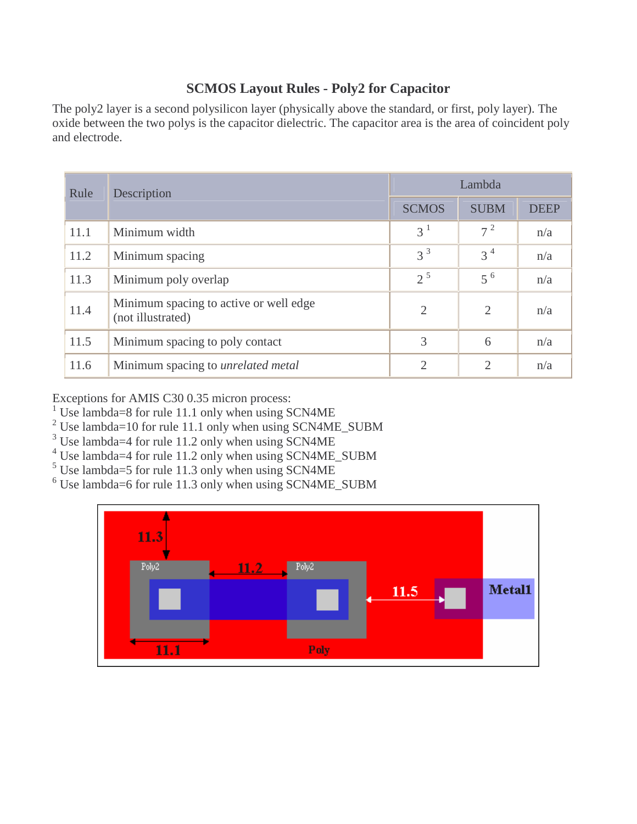## **SCMOS Layout Rules - Poly2 for Capacitor**

The poly2 layer is a second polysilicon layer (physically above the standard, or first, poly layer). The oxide between the two polys is the capacitor dielectric. The capacitor area is the area of coincident poly and electrode.

| Rule | Description                                                 | Lambda         |                |             |  |  |
|------|-------------------------------------------------------------|----------------|----------------|-------------|--|--|
|      |                                                             | <b>SCMOS</b>   | <b>SUBM</b>    | <b>DEEP</b> |  |  |
| 11.1 | Minimum width                                               | 3 <sup>1</sup> | $7^2$          | n/a         |  |  |
| 11.2 | Minimum spacing                                             | $3^3$          | $3^4$          | n/a         |  |  |
| 11.3 | Minimum poly overlap                                        | $2^5$          | $5^{6}$        | n/a         |  |  |
| 11.4 | Minimum spacing to active or well edge<br>(not illustrated) | $\overline{2}$ | $\overline{2}$ | n/a         |  |  |
| 11.5 | Minimum spacing to poly contact                             | 3              | 6              | n/a         |  |  |
| 11.6 | Minimum spacing to <i>unrelated metal</i>                   | $\mathfrak{2}$ | $\overline{2}$ | n/a         |  |  |

Exceptions for AMIS C30 0.35 micron process:

- <sup>1</sup> Use lambda=8 for rule 11.1 only when using SCN4ME
- <sup>2</sup> Use lambda=10 for rule 11.1 only when using SCN4ME\_SUBM
- <sup>3</sup> Use lambda=4 for rule 11.2 only when using SCN4ME
- <sup>4</sup> Use lambda=4 for rule 11.2 only when using SCN4ME\_SUBM
- <sup>5</sup> Use lambda=5 for rule 11.3 only when using SCN4ME
- 6 Use lambda=6 for rule 11.3 only when using SCN4ME\_SUBM

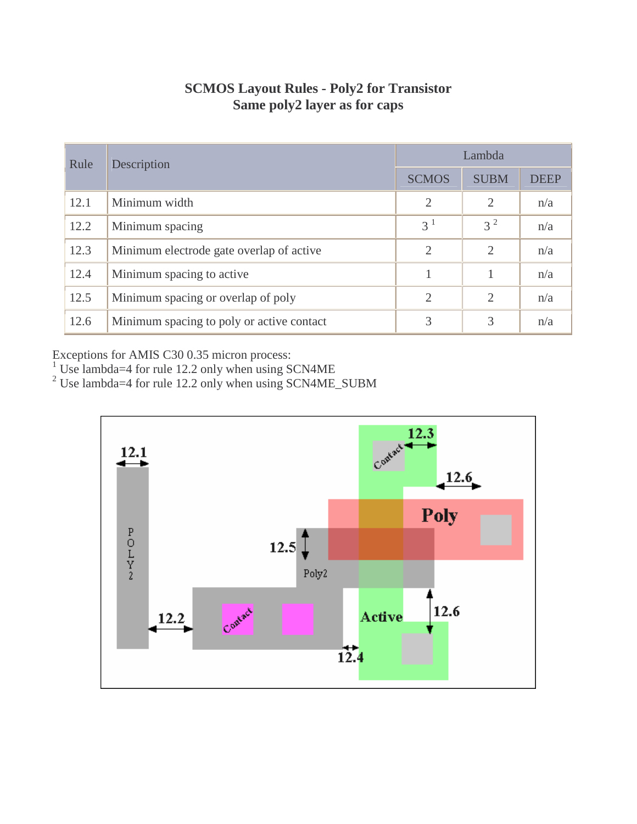| <b>SCMOS Layout Rules - Poly2 for Transistor</b> |
|--------------------------------------------------|
| Same poly2 layer as for caps                     |

| Rule | Description                               | Lambda         |             |             |  |  |
|------|-------------------------------------------|----------------|-------------|-------------|--|--|
|      |                                           | <b>SCMOS</b>   | <b>SUBM</b> | <b>DEEP</b> |  |  |
| 12.1 | Minimum width                             | $\overline{2}$ | 2           | n/a         |  |  |
| 12.2 | Minimum spacing                           | 3 <sup>1</sup> | $3^2$       | n/a         |  |  |
| 12.3 | Minimum electrode gate overlap of active  | $\overline{2}$ | 2           | n/a         |  |  |
| 12.4 | Minimum spacing to active                 |                |             | n/a         |  |  |
| 12.5 | Minimum spacing or overlap of poly        | $\overline{2}$ | 2           | n/a         |  |  |
| 12.6 | Minimum spacing to poly or active contact | 3              | 3           | n/a         |  |  |

Exceptions for AMIS C30 0.35 micron process:<br><sup>1</sup> Use lambda=4 for rule 12.2 only when using SCN4ME<br><sup>2</sup> Use lambda=4 for rule 12.2 only when using SCN4ME\_SUBM

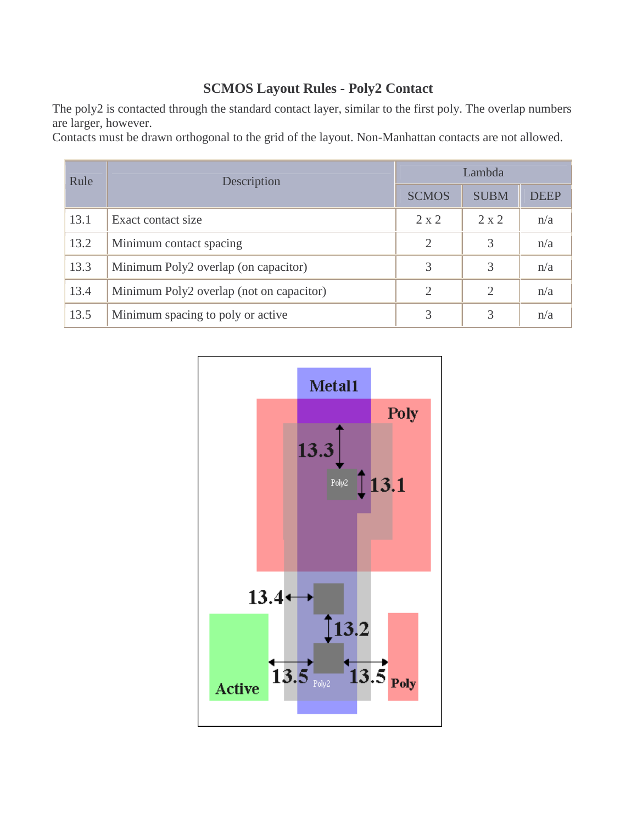## **SCMOS Layout Rules - Poly2 Contact**

The poly2 is contacted through the standard contact layer, similar to the first poly. The overlap numbers are larger, however.

Contacts must be drawn orthogonal to the grid of the layout. Non-Manhattan contacts are not allowed.

| Rule | Description                              | Lambda                |                |             |  |  |
|------|------------------------------------------|-----------------------|----------------|-------------|--|--|
|      |                                          | <b>SCMOS</b>          | <b>SUBM</b>    | <b>DEEP</b> |  |  |
| 13.1 | Exact contact size                       | $2 \times 2$          | $2 \times 2$   | n/a         |  |  |
| 13.2 | Minimum contact spacing                  | $\mathcal{D}_{\cdot}$ | 3              | n/a         |  |  |
| 13.3 | Minimum Poly2 overlap (on capacitor)     | 3                     | 3              | n/a         |  |  |
| 13.4 | Minimum Poly2 overlap (not on capacitor) | $\mathcal{D}_{\cdot}$ | $\overline{2}$ | n/a         |  |  |
| 13.5 | Minimum spacing to poly or active        | 3                     | 3              | n/a         |  |  |

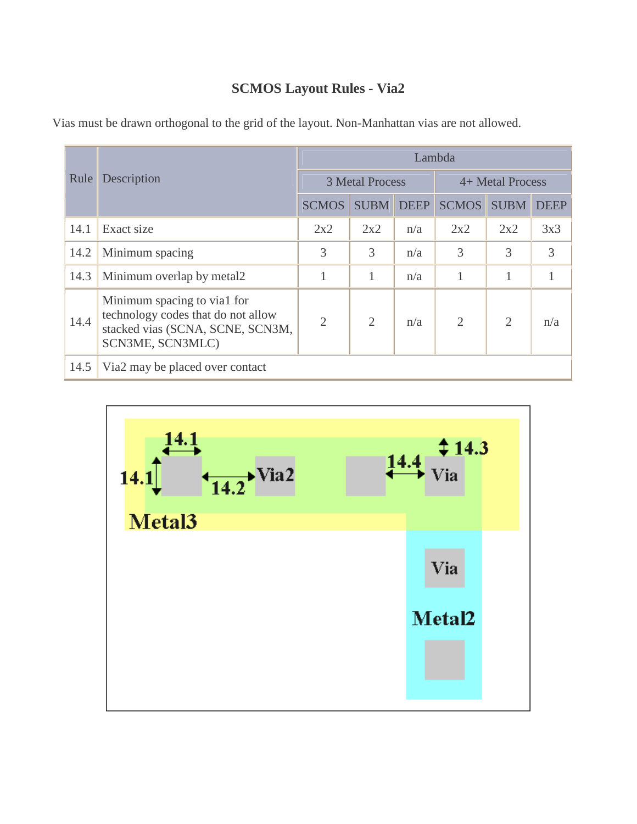# **SCMOS Layout Rules - Via2**

|      |                                                                                                                           | Lambda         |                        |     |                  |                |             |  |  |
|------|---------------------------------------------------------------------------------------------------------------------------|----------------|------------------------|-----|------------------|----------------|-------------|--|--|
| Rule | Description                                                                                                               |                | <b>3 Metal Process</b> |     | 4+ Metal Process |                |             |  |  |
|      |                                                                                                                           | <b>SCMOS</b>   | <b>SUBM DEEP</b>       |     | <b>SCMOS</b>     | <b>SUBM</b>    | <b>DEEP</b> |  |  |
| 14.1 | Exact size                                                                                                                | 2x2            | 2x2                    | n/a | 2x2              | 2x2            | 3x3         |  |  |
| 14.2 | Minimum spacing                                                                                                           | 3              | 3                      | n/a | 3                | 3              | 3           |  |  |
| 14.3 | Minimum overlap by metal2                                                                                                 |                |                        | n/a |                  |                |             |  |  |
| 14.4 | Minimum spacing to via1 for<br>technology codes that do not allow<br>stacked vias (SCNA, SCNE, SCN3M,<br>SCN3ME, SCN3MLC) | $\overline{2}$ | $\overline{2}$         | n/a | $\overline{2}$   | $\overline{2}$ | n/a         |  |  |
| 14.5 | Via <sub>2</sub> may be placed over contact                                                                               |                |                        |     |                  |                |             |  |  |

Vias must be drawn orthogonal to the grid of the layout. Non-Manhattan vias are not allowed.

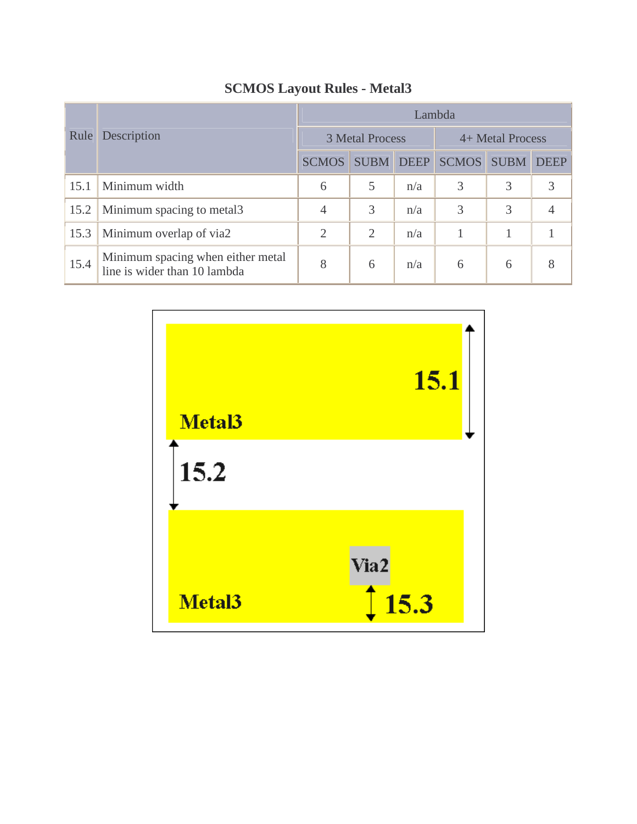|      | Description                                                       | Lambda         |                        |             |                  |             |             |  |  |
|------|-------------------------------------------------------------------|----------------|------------------------|-------------|------------------|-------------|-------------|--|--|
| Rule |                                                                   |                | <b>3 Metal Process</b> |             | 4+ Metal Process |             |             |  |  |
|      |                                                                   | <b>SCMOS</b>   | <b>SUBM</b>            | <b>DEEP</b> | <b>SCMOS</b>     | <b>SUBM</b> | <b>DEEP</b> |  |  |
| 15.1 | Minimum width                                                     | 6              |                        | n/a         | 3                | 3           | 3           |  |  |
| 15.2 | Minimum spacing to metal3                                         | 4              | 3                      | n/a         | 3                | 3           |             |  |  |
| 15.3 | Minimum overlap of via2                                           | $\overline{2}$ | $\overline{2}$         | n/a         |                  |             |             |  |  |
| 15.4 | Minimum spacing when either metal<br>line is wider than 10 lambda | 8              | 6                      | n/a         | 6                | 6           | 8           |  |  |

## **SCMOS Layout Rules - Metal3**

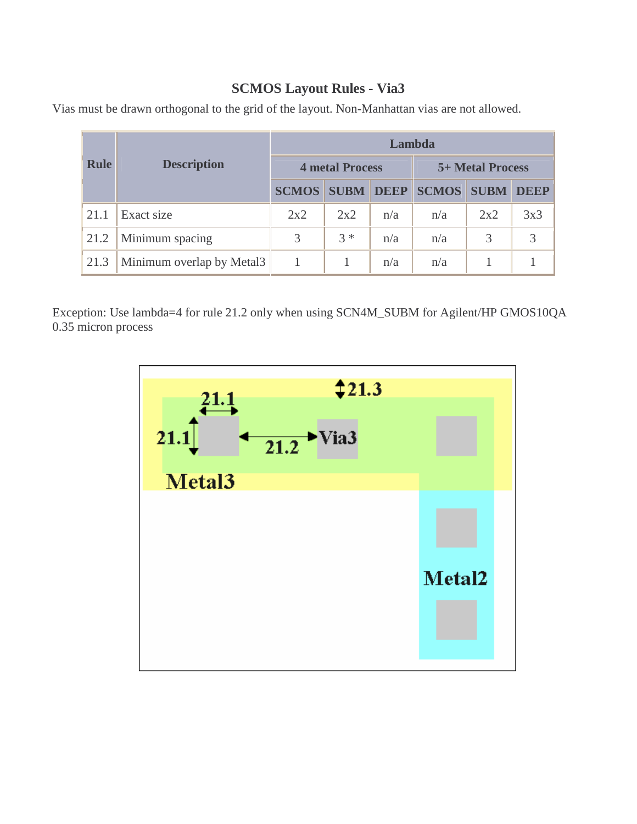## **SCMOS Layout Rules - Via3**

|             |                           | Lambda       |                        |             |              |                         |             |  |  |
|-------------|---------------------------|--------------|------------------------|-------------|--------------|-------------------------|-------------|--|--|
| <b>Rule</b> | <b>Description</b>        |              | <b>4 metal Process</b> |             |              | <b>5+ Metal Process</b> |             |  |  |
|             |                           | <b>SCMOS</b> | <b>SUBM</b>            | <b>DEEP</b> | <b>SCMOS</b> | <b>SUBM</b>             | <b>DEEP</b> |  |  |
| 21.1        | Exact size                | 2x2          | 2x2                    | n/a         | n/a          | 2x2                     | 3x3         |  |  |
| 21.2        | Minimum spacing           | 3            | $3 *$                  | n/a         | n/a          | 3                       | 3           |  |  |
| 21.3        | Minimum overlap by Metal3 |              |                        | n/a         | n/a          |                         |             |  |  |

Vias must be drawn orthogonal to the grid of the layout. Non-Manhattan vias are not allowed.

Exception: Use lambda=4 for rule 21.2 only when using SCN4M\_SUBM for Agilent/HP GMOS10QA 0.35 micron process

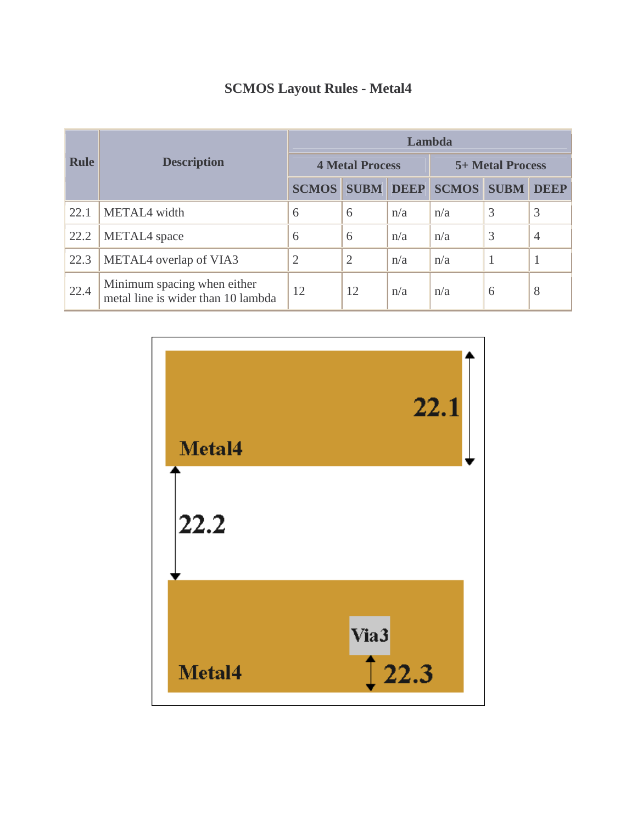|             |                                                                   | Lambda       |                        |     |                         |             |                |  |  |
|-------------|-------------------------------------------------------------------|--------------|------------------------|-----|-------------------------|-------------|----------------|--|--|
| <b>Rule</b> | <b>Description</b>                                                |              | <b>4 Metal Process</b> |     | <b>5+ Metal Process</b> |             |                |  |  |
|             |                                                                   | <b>SCMOS</b> | <b>SUBM DEEP</b>       |     | <b>SCMOS</b>            | <b>SUBM</b> | <b>DEEP</b>    |  |  |
| 22.1        | METAL4 width                                                      | 6            | 6                      | n/a | n/a                     | 3           | 3              |  |  |
| 22.2        | METAL4 space                                                      | 6            | 6                      | n/a | n/a                     | 3           | $\overline{4}$ |  |  |
| 22.3        | METAL4 overlap of VIA3                                            | 2            | $\overline{2}$         | n/a | n/a                     |             | 1              |  |  |
| 22.4        | Minimum spacing when either<br>metal line is wider than 10 lambda | 12           | 12                     | n/a | n/a                     | 6           | 8              |  |  |

## **SCMOS Layout Rules - Metal4**

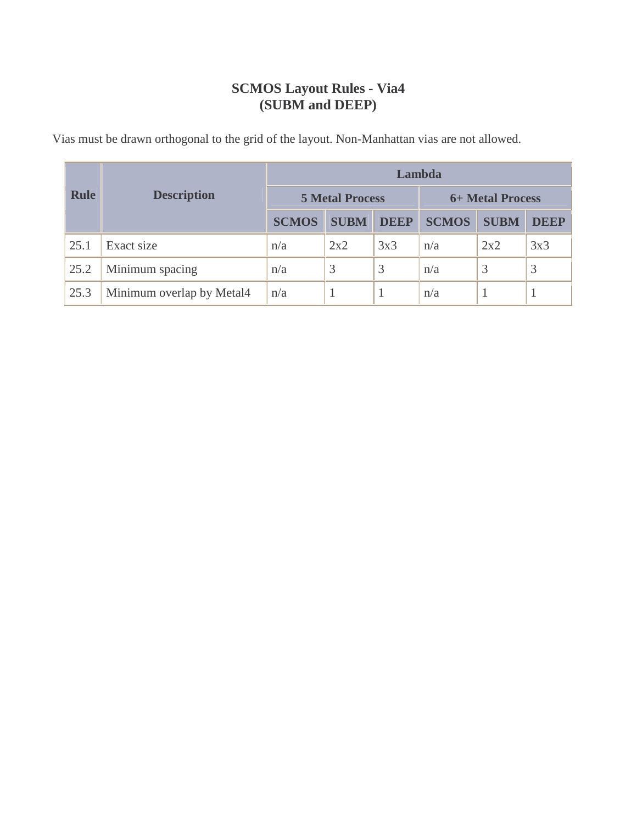## **SCMOS Layout Rules - Via4 (SUBM and DEEP)**

Vias must be drawn orthogonal to the grid of the layout. Non-Manhattan vias are not allowed.

|             |                           | Lambda                 |             |             |              |                         |             |  |  |
|-------------|---------------------------|------------------------|-------------|-------------|--------------|-------------------------|-------------|--|--|
| <b>Rule</b> | <b>Description</b>        | <b>5 Metal Process</b> |             |             |              | <b>6+ Metal Process</b> |             |  |  |
|             |                           | <b>SCMOS</b>           | <b>SUBM</b> | <b>DEEP</b> | <b>SCMOS</b> | <b>SUBM</b>             | <b>DEEP</b> |  |  |
| 25.1        | Exact size                | n/a                    | 2x2         | 3x3         | n/a          | 2x2                     | 3x3         |  |  |
| 25.2        | Minimum spacing           | n/a                    | 3           | 3           | n/a          | 3                       | 3           |  |  |
| 25.3        | Minimum overlap by Metal4 | n/a                    |             |             | n/a          |                         |             |  |  |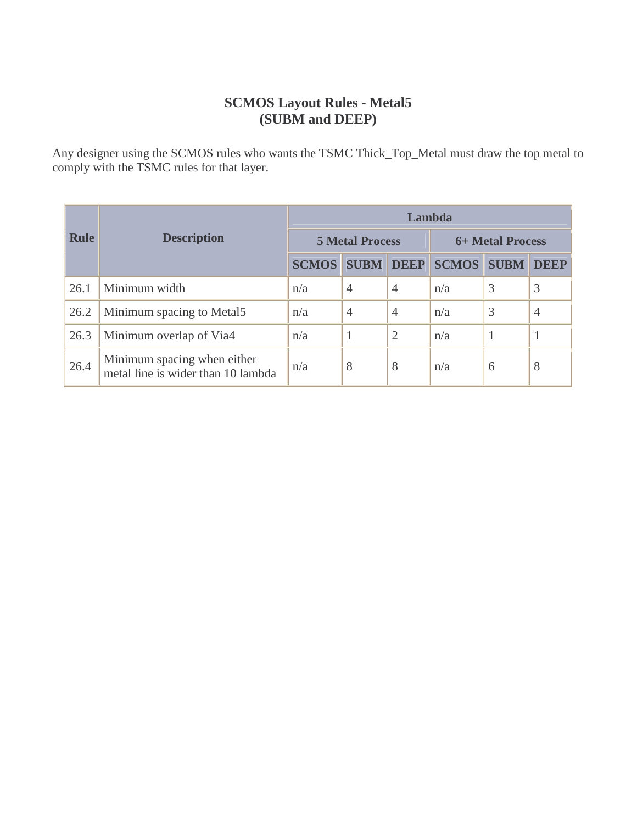#### **SCMOS Layout Rules - Metal5 (SUBM and DEEP)**

Any designer using the SCMOS rules who wants the TSMC Thick\_Top\_Metal must draw the top metal to comply with the TSMC rules for that layer.

| <b>Rule</b> |                                                                   | Lambda       |                        |                |                  |             |                |  |  |
|-------------|-------------------------------------------------------------------|--------------|------------------------|----------------|------------------|-------------|----------------|--|--|
|             | <b>Description</b>                                                |              | <b>5 Metal Process</b> |                | 6+ Metal Process |             |                |  |  |
|             |                                                                   | <b>SCMOS</b> | <b>SUBM</b>            | <b>DEEP</b>    | <b>SCMOS</b>     | <b>SUBM</b> | <b>DEEP</b>    |  |  |
| 26.1        | Minimum width                                                     | n/a          | $\overline{4}$         | $\overline{4}$ | n/a              | 3           | 3              |  |  |
| 26.2        | Minimum spacing to Metal5                                         | n/a          | $\overline{4}$         | $\overline{4}$ | n/a              | 3           | $\overline{4}$ |  |  |
| 26.3        | Minimum overlap of Via4                                           | n/a          |                        | 2              | n/a              |             |                |  |  |
| 26.4        | Minimum spacing when either<br>metal line is wider than 10 lambda | n/a          | 8                      | 8              | n/a              | 6           | 8              |  |  |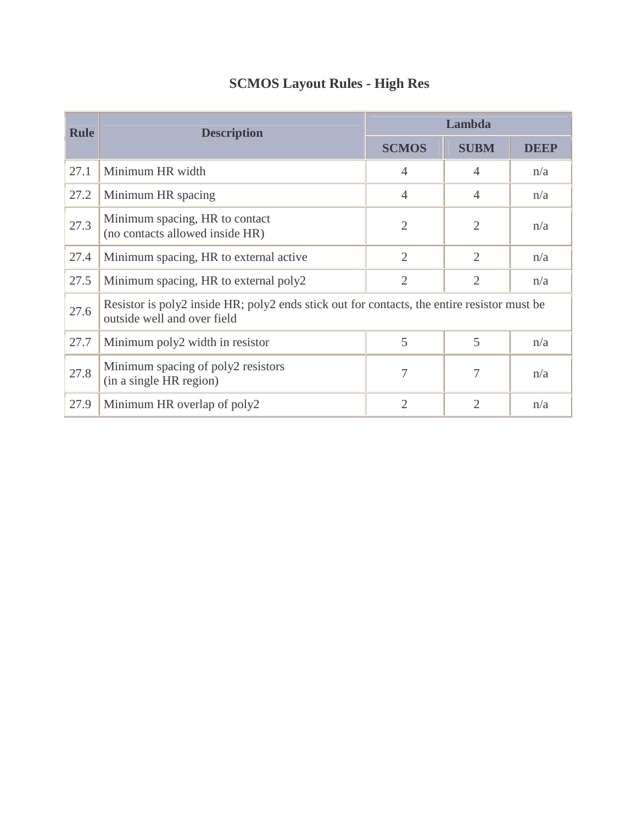| <b>Rule</b> | <b>Description</b>                                                                                                         |                | Lambda         |             |
|-------------|----------------------------------------------------------------------------------------------------------------------------|----------------|----------------|-------------|
|             |                                                                                                                            | <b>SCMOS</b>   | <b>SUBM</b>    | <b>DEEP</b> |
| 27.1        | Minimum HR width                                                                                                           | $\overline{4}$ | $\overline{4}$ | n/a         |
| 27.2        | Minimum HR spacing                                                                                                         | $\overline{4}$ | $\overline{4}$ | n/a         |
| 27.3        | Minimum spacing, HR to contact<br>(no contacts allowed inside HR)                                                          | $\overline{2}$ | $\overline{2}$ | n/a         |
| 27.4        | Minimum spacing, HR to external active                                                                                     | $\overline{2}$ | $\overline{2}$ | n/a         |
| 27.5        | Minimum spacing, HR to external poly2                                                                                      | $\overline{2}$ | $\overline{2}$ | n/a         |
| 27.6        | Resistor is poly2 inside HR; poly2 ends stick out for contacts, the entire resistor must be<br>outside well and over field |                |                |             |
| 27.7        | Minimum poly2 width in resistor                                                                                            | 5              | 5              | n/a         |
| 27.8        | Minimum spacing of poly2 resistors<br>(in a single HR region)                                                              | 7              | 7              | n/a         |
| 27.9        | Minimum HR overlap of poly2                                                                                                | $\overline{2}$ | $\overline{2}$ | n/a         |

## **SCMOS Layout Rules - High Res**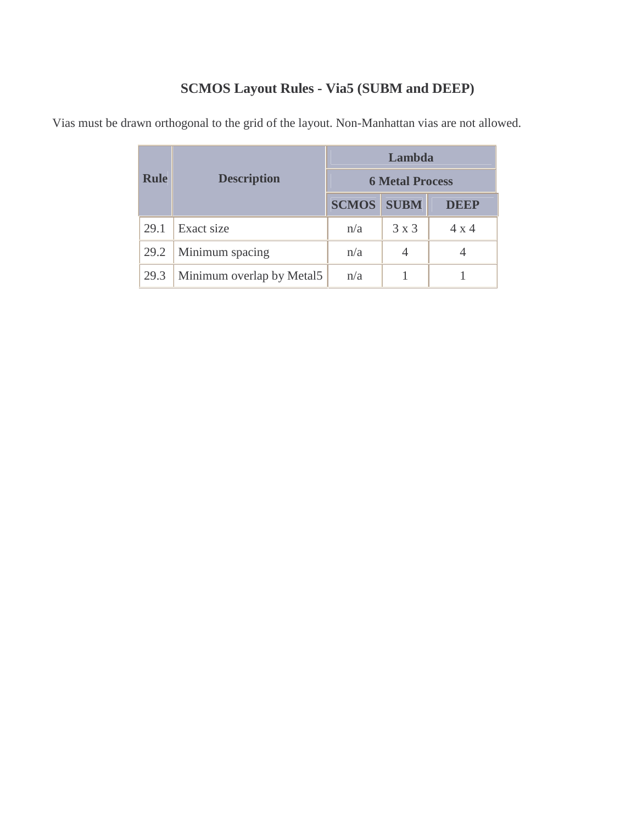## **SCMOS Layout Rules - Via5 (SUBM and DEEP)**

| <b>Rule</b> | <b>Description</b>        | Lambda                 |              |              |  |
|-------------|---------------------------|------------------------|--------------|--------------|--|
|             |                           | <b>6 Metal Process</b> |              |              |  |
|             |                           | <b>SCMOS</b>           | <b>SUBM</b>  | <b>DEEP</b>  |  |
| 29.1        | Exact size                | n/a                    | $3 \times 3$ | $4 \times 4$ |  |
| 29.2        | Minimum spacing           | n/a                    |              |              |  |
| 29.3        | Minimum overlap by Metal5 | n/a                    |              |              |  |

Vias must be drawn orthogonal to the grid of the layout. Non-Manhattan vias are not allowed.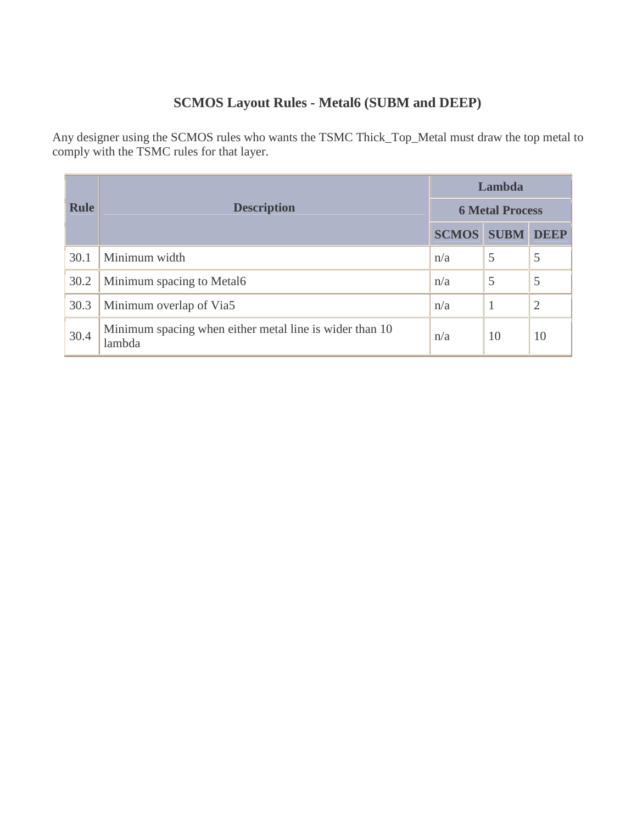## **SCMOS Layout Rules - Metal6 (SUBM and DEEP)**

Any designer using the SCMOS rules who wants the TSMC Thick\_Top\_Metal must draw the top metal to comply with the TSMC rules for that layer.

|             |                                                                   |                        | Lambda      |                |  |
|-------------|-------------------------------------------------------------------|------------------------|-------------|----------------|--|
| <b>Rule</b> | <b>Description</b>                                                | <b>6 Metal Process</b> |             |                |  |
|             |                                                                   | <b>SCMOS</b>           | <b>SUBM</b> | <b>DEEP</b>    |  |
| 30.1        | Minimum width                                                     | n/a                    | 5           | 5              |  |
| 30.2        | Minimum spacing to Metal6                                         | n/a                    | 5           | 5              |  |
| 30.3        | Minimum overlap of Via5                                           | n/a                    |             | $\overline{2}$ |  |
| 30.4        | Minimum spacing when either metal line is wider than 10<br>lambda | n/a                    | 10          | 10             |  |